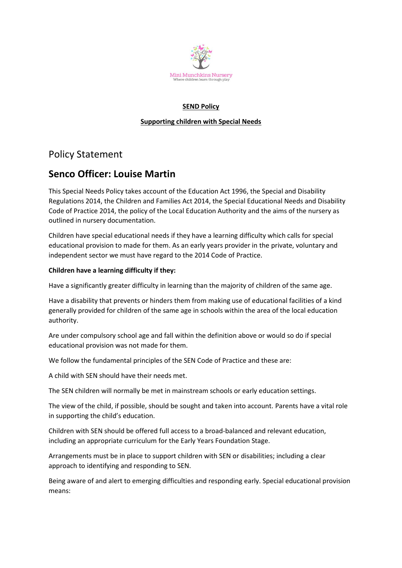

## **SEND Policy**

## **Supporting children with Special Needs**

# Policy Statement

# **Senco Officer: Louise Martin**

This Special Needs Policy takes account of the Education Act 1996, the Special and Disability Regulations 2014, the Children and Families Act 2014, the Special Educational Needs and Disability Code of Practice 2014, the policy of the Local Education Authority and the aims of the nursery as outlined in nursery documentation.

Children have special educational needs if they have a learning difficulty which calls for special educational provision to made for them. As an early years provider in the private, voluntary and independent sector we must have regard to the 2014 Code of Practice.

# **Children have a learning difficulty if they:**

Have a significantly greater difficulty in learning than the majority of children of the same age.

Have a disability that prevents or hinders them from making use of educational facilities of a kind generally provided for children of the same age in schools within the area of the local education authority.

Are under compulsory school age and fall within the definition above or would so do if special educational provision was not made for them.

We follow the fundamental principles of the SEN Code of Practice and these are:

A child with SEN should have their needs met.

The SEN children will normally be met in mainstream schools or early education settings.

The view of the child, if possible, should be sought and taken into account. Parents have a vital role in supporting the child's education.

Children with SEN should be offered full access to a broad-balanced and relevant education, including an appropriate curriculum for the Early Years Foundation Stage.

Arrangements must be in place to support children with SEN or disabilities; including a clear approach to identifying and responding to SEN.

Being aware of and alert to emerging difficulties and responding early. Special educational provision means: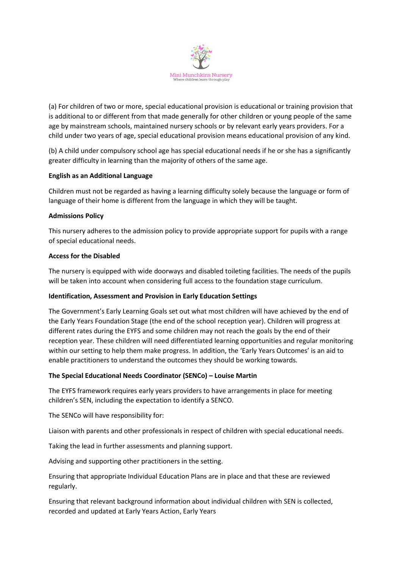

(a) For children of two or more, special educational provision is educational or training provision that is additional to or different from that made generally for other children or young people of the same age by mainstream schools, maintained nursery schools or by relevant early years providers. For a child under two years of age, special educational provision means educational provision of any kind.

(b) A child under compulsory school age has special educational needs if he or she has a significantly greater difficulty in learning than the majority of others of the same age.

## **English as an Additional Language**

Children must not be regarded as having a learning difficulty solely because the language or form of language of their home is different from the language in which they will be taught.

#### **Admissions Policy**

This nursery adheres to the admission policy to provide appropriate support for pupils with a range of special educational needs.

## **Access for the Disabled**

The nursery is equipped with wide doorways and disabled toileting facilities. The needs of the pupils will be taken into account when considering full access to the foundation stage curriculum.

## **Identification, Assessment and Provision in Early Education Settings**

The Government's Early Learning Goals set out what most children will have achieved by the end of the Early Years Foundation Stage (the end of the school reception year). Children will progress at different rates during the EYFS and some children may not reach the goals by the end of their reception year. These children will need differentiated learning opportunities and regular monitoring within our setting to help them make progress. In addition, the 'Early Years Outcomes' is an aid to enable practitioners to understand the outcomes they should be working towards.

## **The Special Educational Needs Coordinator (SENCo) – Louise Martin**

The EYFS framework requires early years providers to have arrangements in place for meeting children's SEN, including the expectation to identify a SENCO.

The SENCo will have responsibility for:

Liaison with parents and other professionals in respect of children with special educational needs.

Taking the lead in further assessments and planning support.

Advising and supporting other practitioners in the setting.

Ensuring that appropriate Individual Education Plans are in place and that these are reviewed regularly.

Ensuring that relevant background information about individual children with SEN is collected, recorded and updated at Early Years Action, Early Years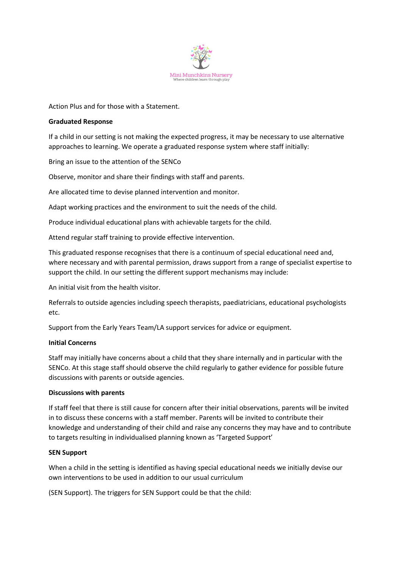

Action Plus and for those with a Statement.

#### **Graduated Response**

If a child in our setting is not making the expected progress, it may be necessary to use alternative approaches to learning. We operate a graduated response system where staff initially:

Bring an issue to the attention of the SENCo

Observe, monitor and share their findings with staff and parents.

Are allocated time to devise planned intervention and monitor.

Adapt working practices and the environment to suit the needs of the child.

Produce individual educational plans with achievable targets for the child.

Attend regular staff training to provide effective intervention.

This graduated response recognises that there is a continuum of special educational need and, where necessary and with parental permission, draws support from a range of specialist expertise to support the child. In our setting the different support mechanisms may include:

An initial visit from the health visitor.

Referrals to outside agencies including speech therapists, paediatricians, educational psychologists etc.

Support from the Early Years Team/LA support services for advice or equipment.

## **Initial Concerns**

Staff may initially have concerns about a child that they share internally and in particular with the SENCo. At this stage staff should observe the child regularly to gather evidence for possible future discussions with parents or outside agencies.

## **Discussions with parents**

If staff feel that there is still cause for concern after their initial observations, parents will be invited in to discuss these concerns with a staff member. Parents will be invited to contribute their knowledge and understanding of their child and raise any concerns they may have and to contribute to targets resulting in individualised planning known as 'Targeted Support'

## **SEN Support**

When a child in the setting is identified as having special educational needs we initially devise our own interventions to be used in addition to our usual curriculum

(SEN Support). The triggers for SEN Support could be that the child: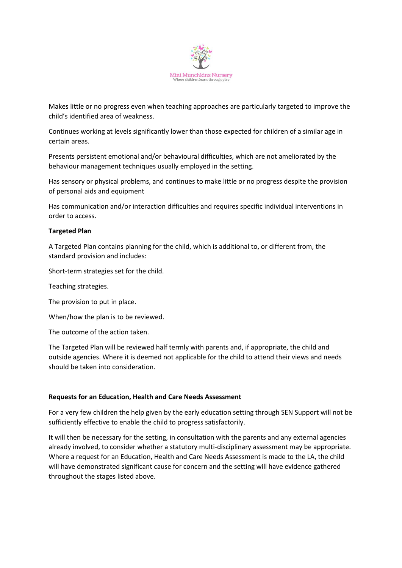

Makes little or no progress even when teaching approaches are particularly targeted to improve the child's identified area of weakness.

Continues working at levels significantly lower than those expected for children of a similar age in certain areas.

Presents persistent emotional and/or behavioural difficulties, which are not ameliorated by the behaviour management techniques usually employed in the setting.

Has sensory or physical problems, and continues to make little or no progress despite the provision of personal aids and equipment

Has communication and/or interaction difficulties and requires specific individual interventions in order to access.

#### **Targeted Plan**

A Targeted Plan contains planning for the child, which is additional to, or different from, the standard provision and includes:

Short-term strategies set for the child.

Teaching strategies.

The provision to put in place.

When/how the plan is to be reviewed.

The outcome of the action taken.

The Targeted Plan will be reviewed half termly with parents and, if appropriate, the child and outside agencies. Where it is deemed not applicable for the child to attend their views and needs should be taken into consideration.

#### **Requests for an Education, Health and Care Needs Assessment**

For a very few children the help given by the early education setting through SEN Support will not be sufficiently effective to enable the child to progress satisfactorily.

It will then be necessary for the setting, in consultation with the parents and any external agencies already involved, to consider whether a statutory multi-disciplinary assessment may be appropriate. Where a request for an Education, Health and Care Needs Assessment is made to the LA, the child will have demonstrated significant cause for concern and the setting will have evidence gathered throughout the stages listed above.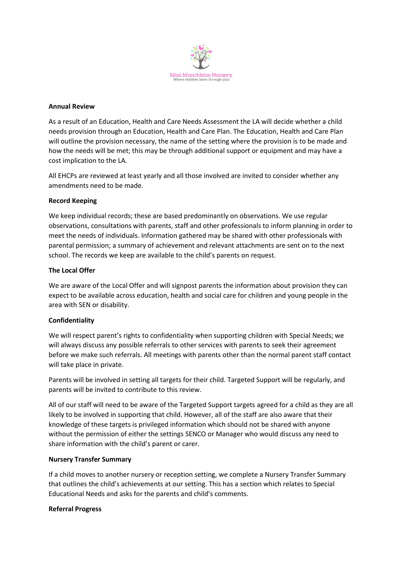

#### **Annual Review**

As a result of an Education, Health and Care Needs Assessment the LA will decide whether a child needs provision through an Education, Health and Care Plan. The Education, Health and Care Plan will outline the provision necessary, the name of the setting where the provision is to be made and how the needs will be met; this may be through additional support or equipment and may have a cost implication to the LA.

All EHCPs are reviewed at least yearly and all those involved are invited to consider whether any amendments need to be made.

## **Record Keeping**

We keep individual records; these are based predominantly on observations. We use regular observations, consultations with parents, staff and other professionals to inform planning in order to meet the needs of individuals. Information gathered may be shared with other professionals with parental permission; a summary of achievement and relevant attachments are sent on to the next school. The records we keep are available to the child's parents on request.

## **The Local Offer**

We are aware of the Local Offer and will signpost parents the information about provision they can expect to be available across education, health and social care for children and young people in the area with SEN or disability.

#### **Confidentiality**

We will respect parent's rights to confidentiality when supporting children with Special Needs; we will always discuss any possible referrals to other services with parents to seek their agreement before we make such referrals. All meetings with parents other than the normal parent staff contact will take place in private.

Parents will be involved in setting all targets for their child. Targeted Support will be regularly, and parents will be invited to contribute to this review.

All of our staff will need to be aware of the Targeted Support targets agreed for a child as they are all likely to be involved in supporting that child. However, all of the staff are also aware that their knowledge of these targets is privileged information which should not be shared with anyone without the permission of either the settings SENCO or Manager who would discuss any need to share information with the child's parent or carer.

#### **Nursery Transfer Summary**

If a child moves to another nursery or reception setting, we complete a Nursery Transfer Summary that outlines the child's achievements at our setting. This has a section which relates to Special Educational Needs and asks for the parents and child's comments.

#### **Referral Progress**